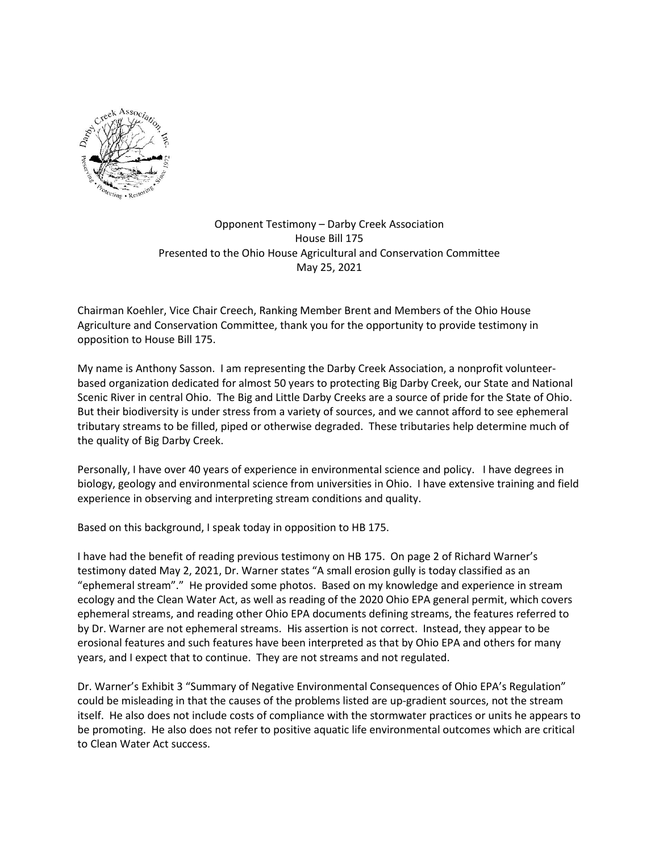

## Opponent Testimony – Darby Creek Association House Bill 175 Presented to the Ohio House Agricultural and Conservation Committee May 25, 2021

Chairman Koehler, Vice Chair Creech, Ranking Member Brent and Members of the Ohio House Agriculture and Conservation Committee, thank you for the opportunity to provide testimony in opposition to House Bill 175.

My name is Anthony Sasson. I am representing the Darby Creek Association, a nonprofit volunteerbased organization dedicated for almost 50 years to protecting Big Darby Creek, our State and National Scenic River in central Ohio. The Big and Little Darby Creeks are a source of pride for the State of Ohio. But their biodiversity is under stress from a variety of sources, and we cannot afford to see ephemeral tributary streams to be filled, piped or otherwise degraded. These tributaries help determine much of the quality of Big Darby Creek.

Personally, I have over 40 years of experience in environmental science and policy. I have degrees in biology, geology and environmental science from universities in Ohio. I have extensive training and field experience in observing and interpreting stream conditions and quality.

Based on this background, I speak today in opposition to HB 175.

I have had the benefit of reading previous testimony on HB 175. On page 2 of Richard Warner's testimony dated May 2, 2021, Dr. Warner states "A small erosion gully is today classified as an "ephemeral stream"." He provided some photos. Based on my knowledge and experience in stream ecology and the Clean Water Act, as well as reading of the 2020 Ohio EPA general permit, which covers ephemeral streams, and reading other Ohio EPA documents defining streams, the features referred to by Dr. Warner are not ephemeral streams. His assertion is not correct. Instead, they appear to be erosional features and such features have been interpreted as that by Ohio EPA and others for many years, and I expect that to continue. They are not streams and not regulated.

Dr. Warner's Exhibit 3 "Summary of Negative Environmental Consequences of Ohio EPA's Regulation" could be misleading in that the causes of the problems listed are up-gradient sources, not the stream itself. He also does not include costs of compliance with the stormwater practices or units he appears to be promoting. He also does not refer to positive aquatic life environmental outcomes which are critical to Clean Water Act success.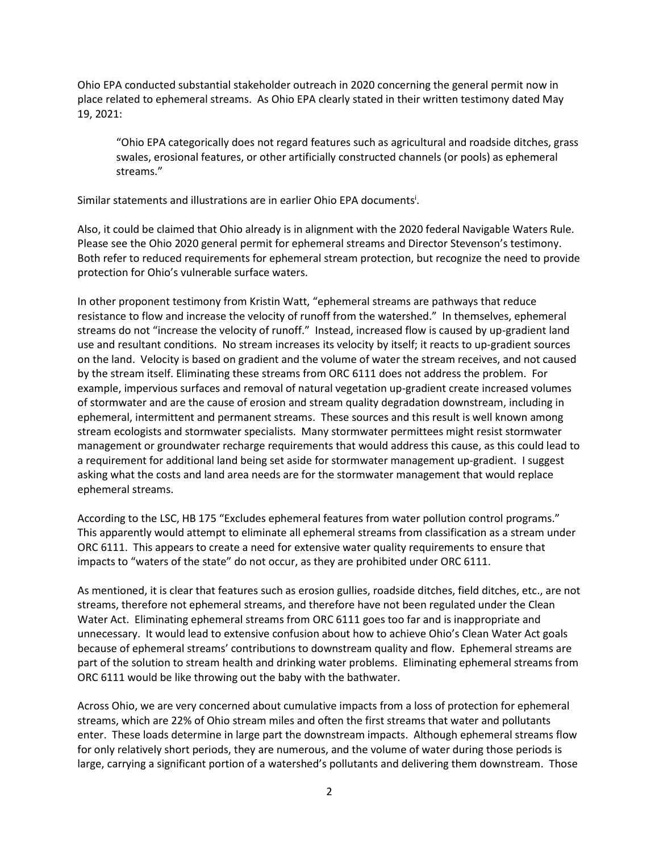Ohio EPA conducted substantial stakeholder outreach in 2020 concerning the general permit now in place related to ephemeral streams. As Ohio EPA clearly stated in their written testimony dated May 19, 2021:

"Ohio EPA categorically does not regard features such as agricultural and roadside ditches, grass swales, erosional features, or other artificially constructed channels (or pools) as ephemeral streams."

Similar statements and illustrations are in earlier Ohio EPA documents<sup>i</sup>.

Also, it could be claimed that Ohio already is in alignment with the 2020 federal Navigable Waters Rule. Please see the Ohio 2020 general permit for ephemeral streams and Director Stevenson's testimony. Both refer to reduced requirements for ephemeral stream protection, but recognize the need to provide protection for Ohio's vulnerable surface waters.

In other proponent testimony from Kristin Watt, "ephemeral streams are pathways that reduce resistance to flow and increase the velocity of runoff from the watershed." In themselves, ephemeral streams do not "increase the velocity of runoff." Instead, increased flow is caused by up-gradient land use and resultant conditions. No stream increases its velocity by itself; it reacts to up-gradient sources on the land. Velocity is based on gradient and the volume of water the stream receives, and not caused by the stream itself. Eliminating these streams from ORC 6111 does not address the problem. For example, impervious surfaces and removal of natural vegetation up-gradient create increased volumes of stormwater and are the cause of erosion and stream quality degradation downstream, including in ephemeral, intermittent and permanent streams. These sources and this result is well known among stream ecologists and stormwater specialists. Many stormwater permittees might resist stormwater management or groundwater recharge requirements that would address this cause, as this could lead to a requirement for additional land being set aside for stormwater management up-gradient. I suggest asking what the costs and land area needs are for the stormwater management that would replace ephemeral streams.

According to the LSC, HB 175 "Excludes ephemeral features from water pollution control programs." This apparently would attempt to eliminate all ephemeral streams from classification as a stream under ORC 6111. This appears to create a need for extensive water quality requirements to ensure that impacts to "waters of the state" do not occur, as they are prohibited under ORC 6111.

As mentioned, it is clear that features such as erosion gullies, roadside ditches, field ditches, etc., are not streams, therefore not ephemeral streams, and therefore have not been regulated under the Clean Water Act. Eliminating ephemeral streams from ORC 6111 goes too far and is inappropriate and unnecessary. It would lead to extensive confusion about how to achieve Ohio's Clean Water Act goals because of ephemeral streams' contributions to downstream quality and flow. Ephemeral streams are part of the solution to stream health and drinking water problems. Eliminating ephemeral streams from ORC 6111 would be like throwing out the baby with the bathwater.

Across Ohio, we are very concerned about cumulative impacts from a loss of protection for ephemeral streams, which are 22% of Ohio stream miles and often the first streams that water and pollutants enter. These loads determine in large part the downstream impacts. Although ephemeral streams flow for only relatively short periods, they are numerous, and the volume of water during those periods is large, carrying a significant portion of a watershed's pollutants and delivering them downstream. Those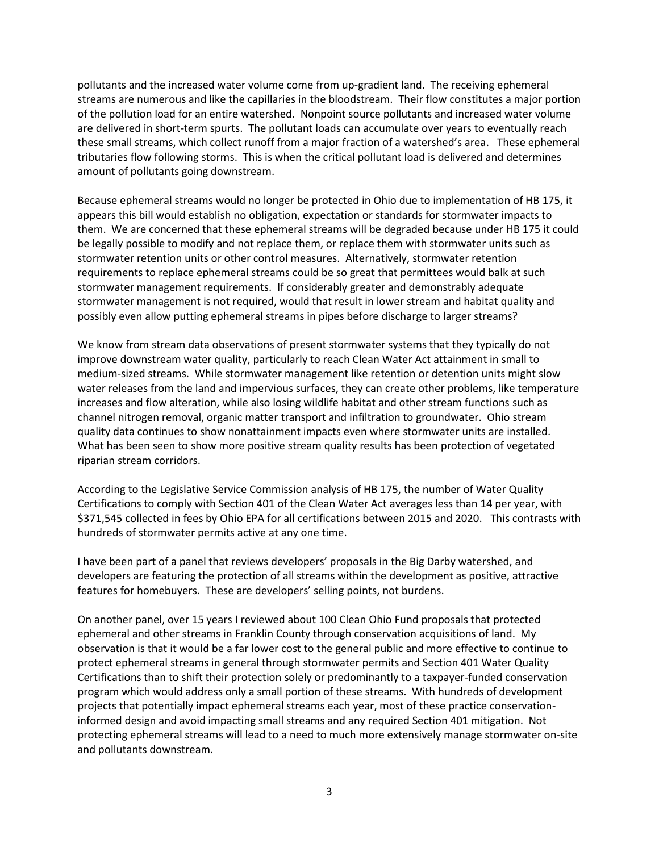pollutants and the increased water volume come from up-gradient land. The receiving ephemeral streams are numerous and like the capillaries in the bloodstream. Their flow constitutes a major portion of the pollution load for an entire watershed. Nonpoint source pollutants and increased water volume are delivered in short-term spurts. The pollutant loads can accumulate over years to eventually reach these small streams, which collect runoff from a major fraction of a watershed's area. These ephemeral tributaries flow following storms. This is when the critical pollutant load is delivered and determines amount of pollutants going downstream.

Because ephemeral streams would no longer be protected in Ohio due to implementation of HB 175, it appears this bill would establish no obligation, expectation or standards for stormwater impacts to them. We are concerned that these ephemeral streams will be degraded because under HB 175 it could be legally possible to modify and not replace them, or replace them with stormwater units such as stormwater retention units or other control measures. Alternatively, stormwater retention requirements to replace ephemeral streams could be so great that permittees would balk at such stormwater management requirements. If considerably greater and demonstrably adequate stormwater management is not required, would that result in lower stream and habitat quality and possibly even allow putting ephemeral streams in pipes before discharge to larger streams?

We know from stream data observations of present stormwater systems that they typically do not improve downstream water quality, particularly to reach Clean Water Act attainment in small to medium-sized streams. While stormwater management like retention or detention units might slow water releases from the land and impervious surfaces, they can create other problems, like temperature increases and flow alteration, while also losing wildlife habitat and other stream functions such as channel nitrogen removal, organic matter transport and infiltration to groundwater. Ohio stream quality data continues to show nonattainment impacts even where stormwater units are installed. What has been seen to show more positive stream quality results has been protection of vegetated riparian stream corridors.

According to the Legislative Service Commission analysis of HB 175, the number of Water Quality Certifications to comply with Section 401 of the Clean Water Act averages less than 14 per year, with \$371,545 collected in fees by Ohio EPA for all certifications between 2015 and 2020. This contrasts with hundreds of stormwater permits active at any one time.

I have been part of a panel that reviews developers' proposals in the Big Darby watershed, and developers are featuring the protection of all streams within the development as positive, attractive features for homebuyers. These are developers' selling points, not burdens.

On another panel, over 15 years I reviewed about 100 Clean Ohio Fund proposals that protected ephemeral and other streams in Franklin County through conservation acquisitions of land. My observation is that it would be a far lower cost to the general public and more effective to continue to protect ephemeral streams in general through stormwater permits and Section 401 Water Quality Certifications than to shift their protection solely or predominantly to a taxpayer-funded conservation program which would address only a small portion of these streams. With hundreds of development projects that potentially impact ephemeral streams each year, most of these practice conservationinformed design and avoid impacting small streams and any required Section 401 mitigation. Not protecting ephemeral streams will lead to a need to much more extensively manage stormwater on-site and pollutants downstream.